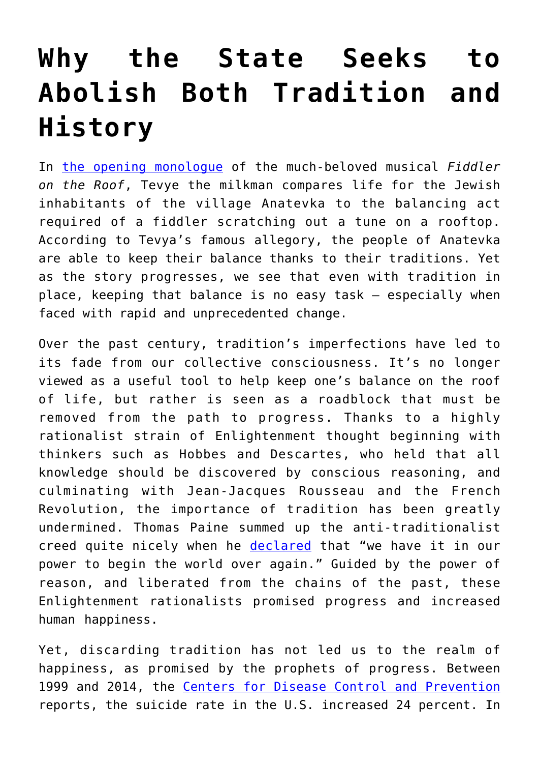## **[Why the State Seeks to](https://intellectualtakeout.org/2020/09/why-the-state-seeks-to-abolish-both-tradition-and-history/) [Abolish Both Tradition and](https://intellectualtakeout.org/2020/09/why-the-state-seeks-to-abolish-both-tradition-and-history/) [History](https://intellectualtakeout.org/2020/09/why-the-state-seeks-to-abolish-both-tradition-and-history/)**

In [the opening monologue](https://www.youtube.com/watch?v=kDtabTufxao) of the much-beloved musical *Fiddler on the Roof*, Tevye the milkman compares life for the Jewish inhabitants of the village Anatevka to the balancing act required of a fiddler scratching out a tune on a rooftop. According to Tevya's famous allegory, the people of Anatevka are able to keep their balance thanks to their traditions. Yet as the story progresses, we see that even with tradition in place, keeping that balance is no easy task – especially when faced with rapid and unprecedented change.

Over the past century, tradition's imperfections have led to its fade from our collective consciousness. It's no longer viewed as a useful tool to help keep one's balance on the roof of life, but rather is seen as a roadblock that must be removed from the path to progress. Thanks to a highly rationalist strain of Enlightenment thought beginning with thinkers such as Hobbes and Descartes, who held that all knowledge should be discovered by conscious reasoning, and culminating with Jean-Jacques Rousseau and the French Revolution, the importance of tradition has been greatly undermined. Thomas Paine summed up the anti-traditionalist creed quite nicely when he [declared](https://oll.libertyfund.org/quotes/381) that "we have it in our power to begin the world over again." Guided by the power of reason, and liberated from the chains of the past, these Enlightenment rationalists promised progress and increased human happiness.

Yet, discarding tradition has not led us to the realm of happiness, as promised by the prophets of progress. Between 1999 and 2014, the [Centers for Disease Control and Prevention](https://www.cdc.gov/nchs/products/databriefs/db241.htm) reports, the suicide rate in the U.S. increased 24 percent. In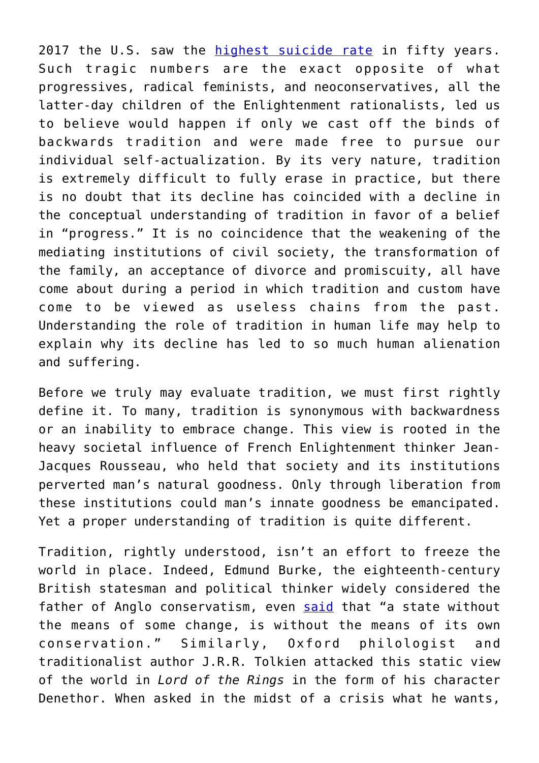2017 the U.S. saw the [highest suicide rate](https://www.vox.com/science-and-health/2018/11/29/18118601/suicide-rate-highest-decades-life-expectancy) in fifty years. Such tragic numbers are the exact opposite of what progressives, radical feminists, and neoconservatives, all the latter-day children of the Enlightenment rationalists, led us to believe would happen if only we cast off the binds of backwards tradition and were made free to pursue our individual self-actualization. By its very nature, tradition is extremely difficult to fully erase in practice, but there is no doubt that its decline has coincided with a decline in the conceptual understanding of tradition in favor of a belief in "progress." It is no coincidence that the weakening of the mediating institutions of civil society, the transformation of the family, an acceptance of divorce and promiscuity, all have come about during a period in which tradition and custom have come to be viewed as useless chains from the past. Understanding the role of tradition in human life may help to explain why its decline has led to so much human alienation and suffering.

Before we truly may evaluate tradition, we must first rightly define it. To many, tradition is synonymous with backwardness or an inability to embrace change. This view is rooted in the heavy societal influence of French Enlightenment thinker Jean-Jacques Rousseau, who held that society and its institutions perverted man's natural goodness. Only through liberation from these institutions could man's innate goodness be emancipated. Yet a proper understanding of tradition is quite different.

Tradition, rightly understood, isn't an effort to freeze the world in place. Indeed, Edmund Burke, the eighteenth-century British statesman and political thinker widely considered the father of Anglo conservatism, even [said](http://oll.libertyfund.org/titles/burke-select-works-of-edmund-burke-vol-2) that "a state without the means of some change, is without the means of its own conservation." Similarly, Oxford philologist and traditionalist author J.R.R. Tolkien attacked this static view of the world in *Lord of the Rings* in the form of his character Denethor. When asked in the midst of a crisis what he wants,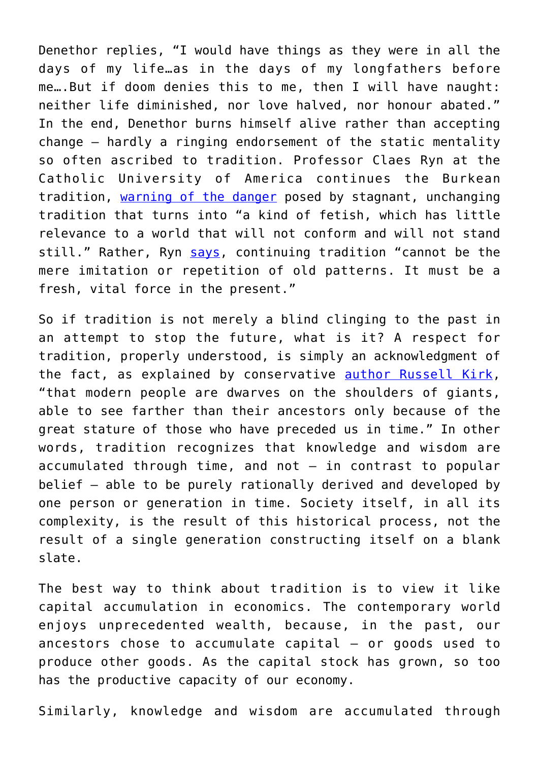Denethor replies, "I would have things as they were in all the days of my life…as in the days of my longfathers before me….But if doom denies this to me, then I will have naught: neither life diminished, nor love halved, nor honour abated." In the end, Denethor burns himself alive rather than accepting change – hardly a ringing endorsement of the static mentality so often ascribed to tradition. Professor Claes Ryn at the Catholic University of America continues the Burkean tradition, [warning of the danger](https://www.amazon.com/America-Virtuous-Crisis-Democracy-Empire/dp/141281331X) posed by stagnant, unchanging tradition that turns into "a kind of fetish, which has little relevance to a world that will not conform and will not stand still." Rather, Ryn [says](https://www.amazon.com/New-Jacobinism-America-Revolutionary-State/dp/093278304X), continuing tradition "cannot be the mere imitation or repetition of old patterns. It must be a fresh, vital force in the present."

So if tradition is not merely a blind clinging to the past in an attempt to stop the future, what is it? A respect for tradition, properly understood, is simply an acknowledgment of the fact, as explained by conservative [author Russell Kirk,](https://kirkcenter.org/conservatism/ten-conservative-principles/) "that modern people are dwarves on the shoulders of giants, able to see farther than their ancestors only because of the great stature of those who have preceded us in time." In other words, tradition recognizes that knowledge and wisdom are accumulated through time, and not  $-$  in contrast to popular belief – able to be purely rationally derived and developed by one person or generation in time. Society itself, in all its complexity, is the result of this historical process, not the result of a single generation constructing itself on a blank slate.

The best way to think about tradition is to view it like capital accumulation in economics. The contemporary world enjoys unprecedented wealth, because, in the past, our ancestors chose to accumulate capital – or goods used to produce other goods. As the capital stock has grown, so too has the productive capacity of our economy.

Similarly, knowledge and wisdom are accumulated through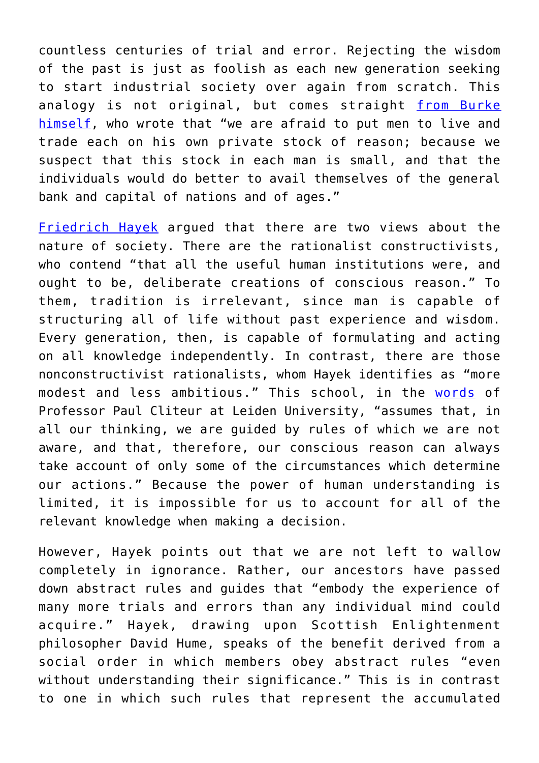countless centuries of trial and error. Rejecting the wisdom of the past is just as foolish as each new generation seeking to start industrial society over again from scratch. This analogy is not original, but comes straight [from Burke](https://www.bartleby.com/24/3/6.html) [himself,](https://www.bartleby.com/24/3/6.html) who wrote that "we are afraid to put men to live and trade each on his own private stock of reason; because we suspect that this stock in each man is small, and that the individuals would do better to avail themselves of the general bank and capital of nations and of ages."

[Friedrich Hayek](https://drive.google.com/open?id=1b7j33Cb0snYg_F5l86NsNPp4GSoYfV3d) argued that there are two views about the nature of society. There are the rationalist constructivists, who contend "that all the useful human institutions were, and ought to be, deliberate creations of conscious reason." To them, tradition is irrelevant, since man is capable of structuring all of life without past experience and wisdom. Every generation, then, is capable of formulating and acting on all knowledge independently. In contrast, there are those nonconstructivist rationalists, whom Hayek identifies as "more modest and less ambitious." This school, in the [words](https://www.jstor.org/stable/23681094) of Professor Paul Cliteur at Leiden University, "assumes that, in all our thinking, we are guided by rules of which we are not aware, and that, therefore, our conscious reason can always take account of only some of the circumstances which determine our actions." Because the power of human understanding is limited, it is impossible for us to account for all of the relevant knowledge when making a decision.

However, Hayek points out that we are not left to wallow completely in ignorance. Rather, our ancestors have passed down abstract rules and guides that "embody the experience of many more trials and errors than any individual mind could acquire." Hayek, drawing upon Scottish Enlightenment philosopher David Hume, speaks of the benefit derived from a social order in which members obey abstract rules "even without understanding their significance." This is in contrast to one in which such rules that represent the accumulated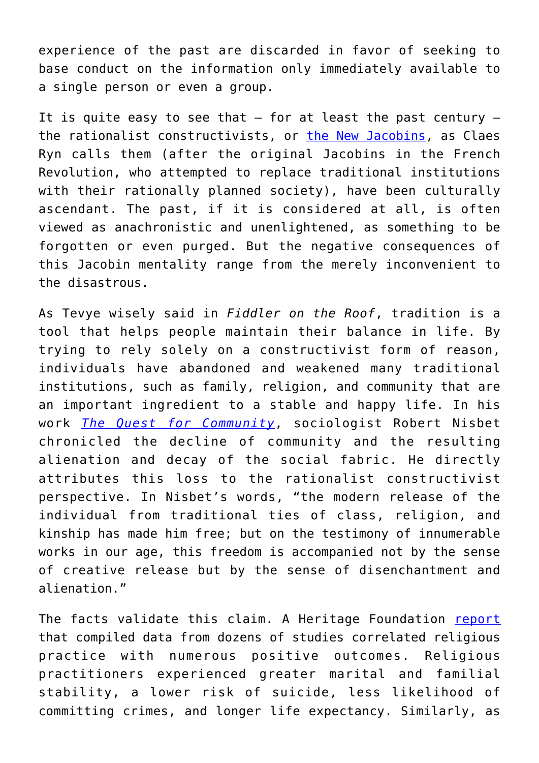experience of the past are discarded in favor of seeking to base conduct on the information only immediately available to a single person or even a group.

It is quite easy to see that  $-$  for at least the past century  $$ the rationalist constructivists, or [the New Jacobins](https://www.amazon.com/New-Jacobinism-America-Revolutionary-State/dp/093278304X), as Claes Ryn calls them (after the original Jacobins in the French Revolution, who attempted to replace traditional institutions with their rationally planned society), have been culturally ascendant. The past, if it is considered at all, is often viewed as anachronistic and unenlightened, as something to be forgotten or even purged. But the negative consequences of this Jacobin mentality range from the merely inconvenient to the disastrous.

As Tevye wisely said in *Fiddler on the Roof*, tradition is a tool that helps people maintain their balance in life. By trying to rely solely on a constructivist form of reason, individuals have abandoned and weakened many traditional institutions, such as family, religion, and community that are an important ingredient to a stable and happy life. In his work *[The Quest for Community](https://archive.org/details/RobertNisbetTheQuestForCommunity)*, sociologist Robert Nisbet chronicled the decline of community and the resulting alienation and decay of the social fabric. He directly attributes this loss to the rationalist constructivist perspective. In Nisbet's words, "the modern release of the individual from traditional ties of class, religion, and kinship has made him free; but on the testimony of innumerable works in our age, this freedom is accompanied not by the sense of creative release but by the sense of disenchantment and alienation."

The facts validate this claim. A Heritage Foundation [report](https://www.heritage.org/civil-society/report/why-religion-matters-even-more-the-impact-religious-practice-social-stability#_ftn7) that compiled data from dozens of studies correlated religious practice with numerous positive outcomes. Religious practitioners experienced greater marital and familial stability, a lower risk of suicide, less likelihood of committing crimes, and longer life expectancy. Similarly, as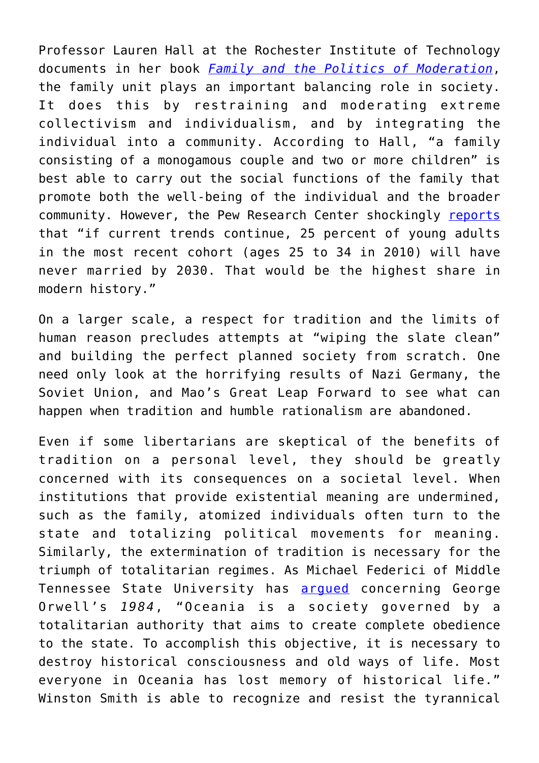Professor Lauren Hall at the Rochester Institute of Technology documents in her book *[Family and the Politics of Moderation](https://www.amazon.com/Family-Politics-Moderation-Private-Individualism/dp/1602588015)*, the family unit plays an important balancing role in society. It does this by restraining and moderating extreme collectivism and individualism, and by integrating the individual into a community. According to Hall, "a family consisting of a monogamous couple and two or more children" is best able to carry out the social functions of the family that promote both the well-being of the individual and the broader community. However, the Pew Research Center shockingly [reports](http://www.pewsocialtrends.org/2014/09/24/record-share-of-americans-have-never-married/#will-todays-never-married-adults-eventually-marry) that "if current trends continue, 25 percent of young adults in the most recent cohort (ages 25 to 34 in 2010) will have never married by 2030. That would be the highest share in modern history."

On a larger scale, a respect for tradition and the limits of human reason precludes attempts at "wiping the slate clean" and building the perfect planned society from scratch. One need only look at the horrifying results of Nazi Germany, the Soviet Union, and Mao's Great Leap Forward to see what can happen when tradition and humble rationalism are abandoned.

Even if some libertarians are skeptical of the benefits of tradition on a personal level, they should be greatly concerned with its consequences on a societal level. When institutions that provide existential meaning are undermined, such as the family, atomized individuals often turn to the state and totalizing political movements for meaning. Similarly, the extermination of tradition is necessary for the triumph of totalitarian regimes. As Michael Federici of Middle Tennessee State University has **arqued** concerning George Orwell's *1984*, "Oceania is a society governed by a totalitarian authority that aims to create complete obedience to the state. To accomplish this objective, it is necessary to destroy historical consciousness and old ways of life. Most everyone in Oceania has lost memory of historical life." Winston Smith is able to recognize and resist the tyrannical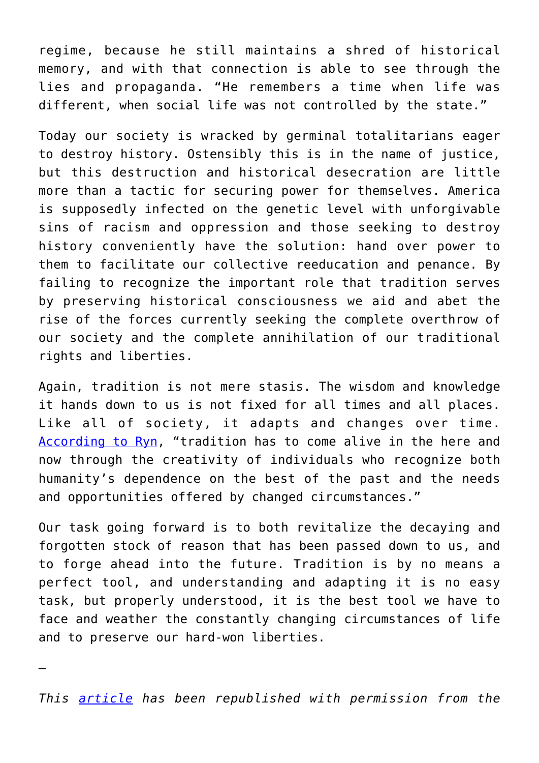regime, because he still maintains a shred of historical memory, and with that connection is able to see through the lies and propaganda. "He remembers a time when life was different, when social life was not controlled by the state."

Today our society is wracked by germinal totalitarians eager to destroy history. Ostensibly this is in the name of justice, but this destruction and historical desecration are little more than a tactic for securing power for themselves. America is supposedly infected on the genetic level with unforgivable sins of racism and oppression and those seeking to destroy history conveniently have the solution: hand over power to them to facilitate our collective reeducation and penance. By failing to recognize the important role that tradition serves by preserving historical consciousness we aid and abet the rise of the forces currently seeking the complete overthrow of our society and the complete annihilation of our traditional rights and liberties.

Again, tradition is not mere stasis. The wisdom and knowledge it hands down to us is not fixed for all times and all places. Like all of society, it adapts and changes over time. [According to Ryn](https://www.amazon.com/America-Virtuous-Crisis-Democracy-Empire/dp/141281331X), "tradition has to come alive in the here and now through the creativity of individuals who recognize both humanity's dependence on the best of the past and the needs and opportunities offered by changed circumstances."

Our task going forward is to both revitalize the decaying and forgotten stock of reason that has been passed down to us, and to forge ahead into the future. Tradition is by no means a perfect tool, and understanding and adapting it is no easy task, but properly understood, it is the best tool we have to face and weather the constantly changing circumstances of life and to preserve our hard-won liberties.

—

*This [article](https://mises.org/wire/why-state-seeks-abolish-both-tradition-and-history) has been republished with permission from the*